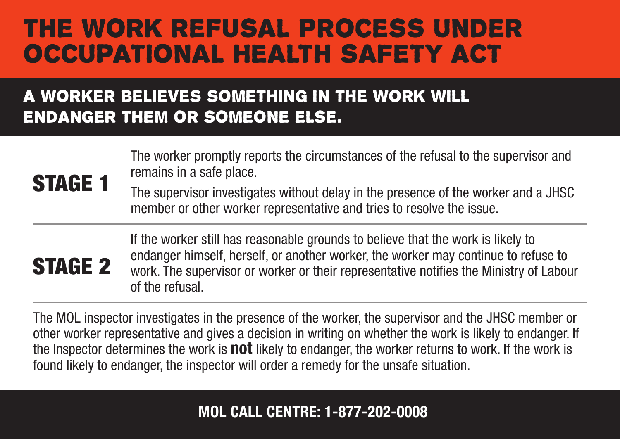### the WORK REFUSAL process UNDER OCCUPATIONAL HEALTH SAFETY ACT

### A worker believes something in the work will endanger them or someone else.

#### The worker promptly reports the circumstances of the refusal to the supervisor and remains in a safe place.

The supervisor investigates without delay in the presence of the worker and a JHSC member or other worker representative and tries to resolve the issue.

## STAGE 2

STAGE 1

If the worker still has reasonable grounds to believe that the work is likely to endanger himself, herself, or another worker, the worker may continue to refuse to work. The supervisor or worker or their representative notifies the Ministry of Labour of the refusal.

The MOL inspector investigates in the presence of the worker, the supervisor and the JHSC member or other worker representative and gives a decision in writing on whether the work is likely to endanger. If the Inspector determines the work is **not** likely to endanger, the worker returns to work. If the work is found likely to endanger, the inspector will order a remedy for the unsafe situation.

#### MOL CALL CENTRE: 1-877-202-0008